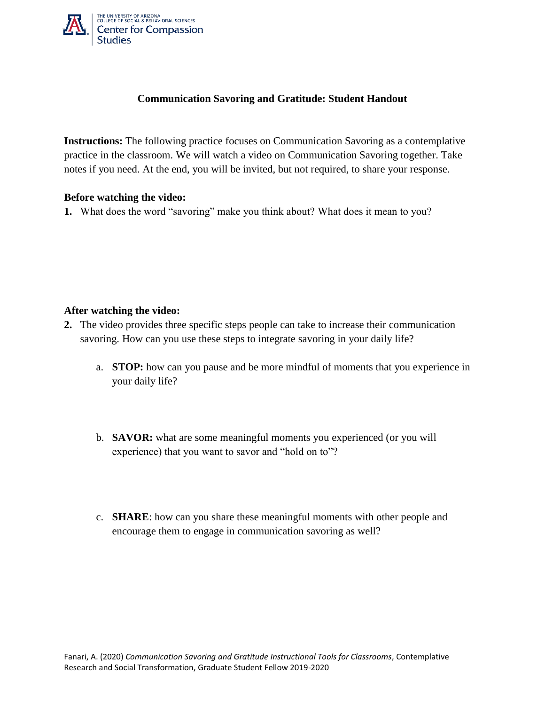

## **Communication Savoring and Gratitude: Student Handout**

**Instructions:** The following practice focuses on Communication Savoring as a contemplative practice in the classroom. We will watch a video on Communication Savoring together. Take notes if you need. At the end, you will be invited, but not required, to share your response.

## **Before watching the video:**

**1.** What does the word "savoring" make you think about? What does it mean to you?

## **After watching the video:**

- **2.** The video provides three specific steps people can take to increase their communication savoring. How can you use these steps to integrate savoring in your daily life?
	- a. **STOP:** how can you pause and be more mindful of moments that you experience in your daily life?
	- b. **SAVOR:** what are some meaningful moments you experienced (or you will experience) that you want to savor and "hold on to"?
	- c. **SHARE**: how can you share these meaningful moments with other people and encourage them to engage in communication savoring as well?